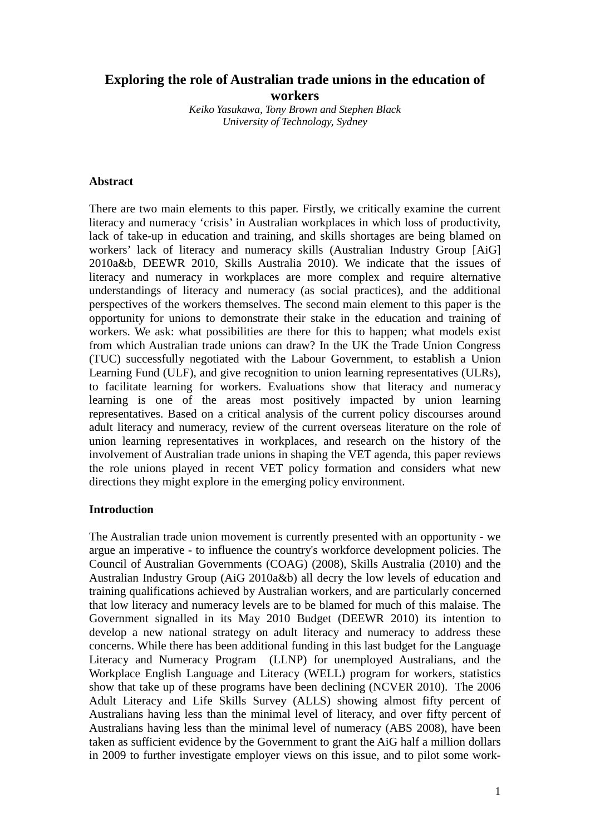# **Exploring the role of Australian trade unions in the education of workers**

*Keiko Yasukawa, Tony Brown and Stephen Black University of Technology, Sydney* 

#### **Abstract**

There are two main elements to this paper. Firstly, we critically examine the current literacy and numeracy 'crisis' in Australian workplaces in which loss of productivity, lack of take-up in education and training, and skills shortages are being blamed on workers' lack of literacy and numeracy skills (Australian Industry Group [AiG] 2010a&b, DEEWR 2010, Skills Australia 2010). We indicate that the issues of literacy and numeracy in workplaces are more complex and require alternative understandings of literacy and numeracy (as social practices), and the additional perspectives of the workers themselves. The second main element to this paper is the opportunity for unions to demonstrate their stake in the education and training of workers. We ask: what possibilities are there for this to happen; what models exist from which Australian trade unions can draw? In the UK the Trade Union Congress (TUC) successfully negotiated with the Labour Government, to establish a Union Learning Fund (ULF), and give recognition to union learning representatives (ULRs), to facilitate learning for workers. Evaluations show that literacy and numeracy learning is one of the areas most positively impacted by union learning representatives. Based on a critical analysis of the current policy discourses around adult literacy and numeracy, review of the current overseas literature on the role of union learning representatives in workplaces, and research on the history of the involvement of Australian trade unions in shaping the VET agenda, this paper reviews the role unions played in recent VET policy formation and considers what new directions they might explore in the emerging policy environment.

### **Introduction**

The Australian trade union movement is currently presented with an opportunity - we argue an imperative - to influence the country's workforce development policies. The Council of Australian Governments (COAG) (2008), Skills Australia (2010) and the Australian Industry Group (AiG 2010a&b) all decry the low levels of education and training qualifications achieved by Australian workers, and are particularly concerned that low literacy and numeracy levels are to be blamed for much of this malaise. The Government signalled in its May 2010 Budget (DEEWR 2010) its intention to develop a new national strategy on adult literacy and numeracy to address these concerns. While there has been additional funding in this last budget for the Language Literacy and Numeracy Program (LLNP) for unemployed Australians, and the Workplace English Language and Literacy (WELL) program for workers, statistics show that take up of these programs have been declining (NCVER 2010). The 2006 Adult Literacy and Life Skills Survey (ALLS) showing almost fifty percent of Australians having less than the minimal level of literacy, and over fifty percent of Australians having less than the minimal level of numeracy (ABS 2008), have been taken as sufficient evidence by the Government to grant the AiG half a million dollars in 2009 to further investigate employer views on this issue, and to pilot some work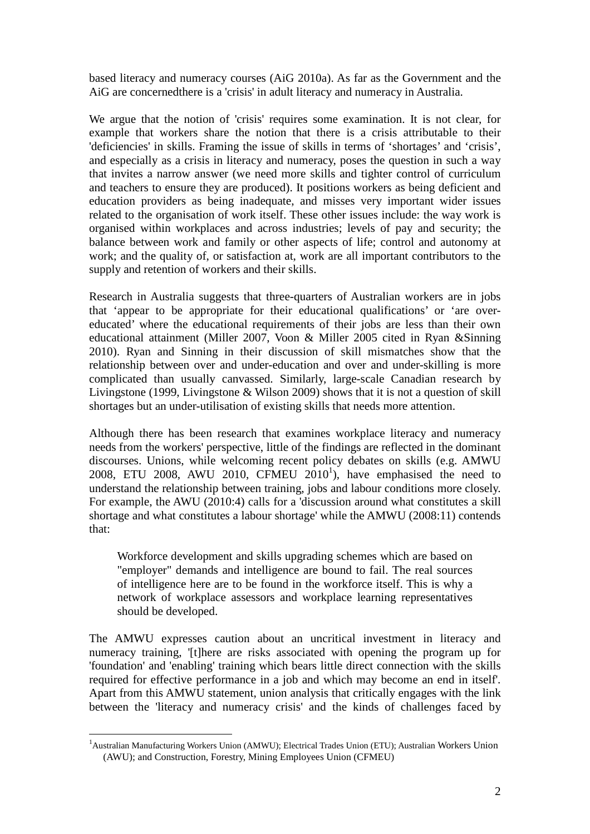based literacy and numeracy courses (AiG 2010a). As far as the Government and the AiG are concernedthere is a 'crisis' in adult literacy and numeracy in Australia.

We argue that the notion of 'crisis' requires some examination. It is not clear, for example that workers share the notion that there is a crisis attributable to their 'deficiencies' in skills. Framing the issue of skills in terms of 'shortages' and 'crisis', and especially as a crisis in literacy and numeracy, poses the question in such a way that invites a narrow answer (we need more skills and tighter control of curriculum and teachers to ensure they are produced). It positions workers as being deficient and education providers as being inadequate, and misses very important wider issues related to the organisation of work itself. These other issues include: the way work is organised within workplaces and across industries; levels of pay and security; the balance between work and family or other aspects of life; control and autonomy at work; and the quality of, or satisfaction at, work are all important contributors to the supply and retention of workers and their skills.

Research in Australia suggests that three-quarters of Australian workers are in jobs that 'appear to be appropriate for their educational qualifications' or 'are overeducated' where the educational requirements of their jobs are less than their own educational attainment (Miller 2007, Voon & Miller 2005 cited in Ryan &Sinning 2010). Ryan and Sinning in their discussion of skill mismatches show that the relationship between over and under-education and over and under-skilling is more complicated than usually canvassed. Similarly, large-scale Canadian research by Livingstone (1999, Livingstone & Wilson 2009) shows that it is not a question of skill shortages but an under-utilisation of existing skills that needs more attention.

Although there has been research that examines workplace literacy and numeracy needs from the workers' perspective, little of the findings are reflected in the dominant discourses. Unions, while welcoming recent policy debates on skills (e.g. AMWU 2008, ETU 2008, AWU 2010, CFMEU  $2010^1$ ), have emphasised the need to understand the relationship between training, jobs and labour conditions more closely. For example, the AWU (2010:4) calls for a 'discussion around what constitutes a skill shortage and what constitutes a labour shortage' while the AMWU (2008:11) contends that:

Workforce development and skills upgrading schemes which are based on "employer" demands and intelligence are bound to fail. The real sources of intelligence here are to be found in the workforce itself. This is why a network of workplace assessors and workplace learning representatives should be developed.

The AMWU expresses caution about an uncritical investment in literacy and numeracy training, '[t]here are risks associated with opening the program up for 'foundation' and 'enabling' training which bears little direct connection with the skills required for effective performance in a job and which may become an end in itself'. Apart from this AMWU statement, union analysis that critically engages with the link between the 'literacy and numeracy crisis' and the kinds of challenges faced by

 $\overline{a}$ 

<sup>&</sup>lt;sup>1</sup>Australian Manufacturing Workers Union (AMWU); Electrical Trades Union (ETU); Australian Workers Union (AWU); and Construction, Forestry, Mining Employees Union (CFMEU)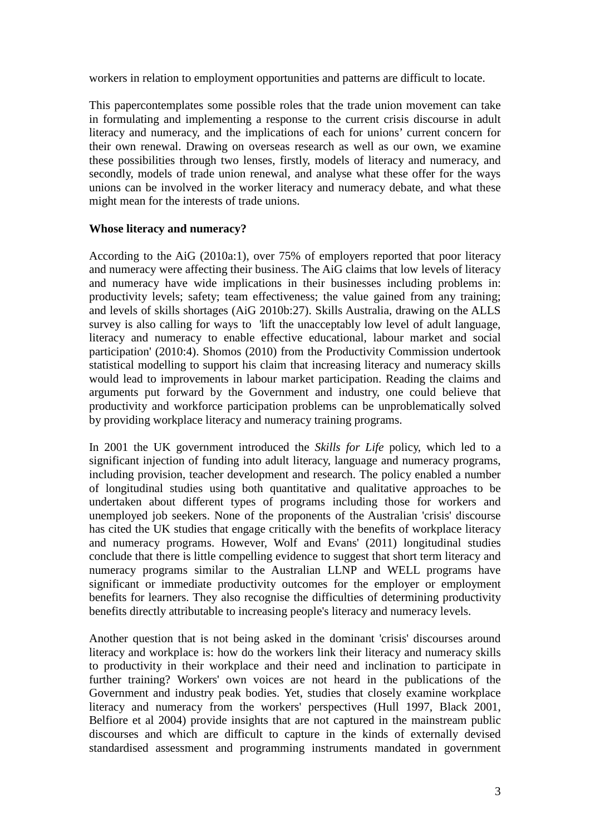workers in relation to employment opportunities and patterns are difficult to locate.

This papercontemplates some possible roles that the trade union movement can take in formulating and implementing a response to the current crisis discourse in adult literacy and numeracy, and the implications of each for unions' current concern for their own renewal. Drawing on overseas research as well as our own, we examine these possibilities through two lenses, firstly, models of literacy and numeracy, and secondly, models of trade union renewal, and analyse what these offer for the ways unions can be involved in the worker literacy and numeracy debate, and what these might mean for the interests of trade unions.

## **Whose literacy and numeracy?**

According to the AiG (2010a:1), over 75% of employers reported that poor literacy and numeracy were affecting their business. The AiG claims that low levels of literacy and numeracy have wide implications in their businesses including problems in: productivity levels; safety; team effectiveness; the value gained from any training; and levels of skills shortages (AiG 2010b:27). Skills Australia, drawing on the ALLS survey is also calling for ways to 'lift the unacceptably low level of adult language, literacy and numeracy to enable effective educational, labour market and social participation' (2010:4). Shomos (2010) from the Productivity Commission undertook statistical modelling to support his claim that increasing literacy and numeracy skills would lead to improvements in labour market participation. Reading the claims and arguments put forward by the Government and industry, one could believe that productivity and workforce participation problems can be unproblematically solved by providing workplace literacy and numeracy training programs.

In 2001 the UK government introduced the *Skills for Life* policy, which led to a significant injection of funding into adult literacy, language and numeracy programs, including provision, teacher development and research. The policy enabled a number of longitudinal studies using both quantitative and qualitative approaches to be undertaken about different types of programs including those for workers and unemployed job seekers. None of the proponents of the Australian 'crisis' discourse has cited the UK studies that engage critically with the benefits of workplace literacy and numeracy programs. However, Wolf and Evans' (2011) longitudinal studies conclude that there is little compelling evidence to suggest that short term literacy and numeracy programs similar to the Australian LLNP and WELL programs have significant or immediate productivity outcomes for the employer or employment benefits for learners. They also recognise the difficulties of determining productivity benefits directly attributable to increasing people's literacy and numeracy levels.

Another question that is not being asked in the dominant 'crisis' discourses around literacy and workplace is: how do the workers link their literacy and numeracy skills to productivity in their workplace and their need and inclination to participate in further training? Workers' own voices are not heard in the publications of the Government and industry peak bodies. Yet, studies that closely examine workplace literacy and numeracy from the workers' perspectives (Hull 1997, Black 2001, Belfiore et al 2004) provide insights that are not captured in the mainstream public discourses and which are difficult to capture in the kinds of externally devised standardised assessment and programming instruments mandated in government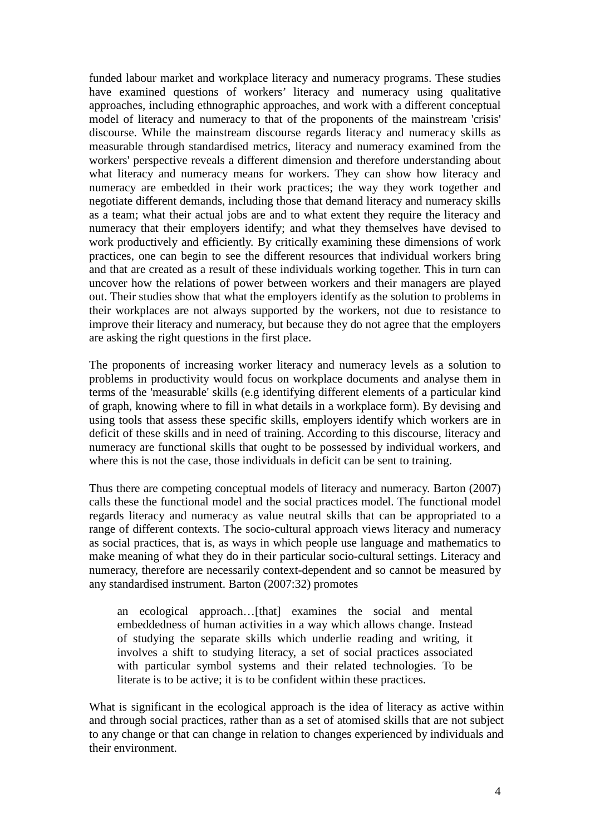funded labour market and workplace literacy and numeracy programs. These studies have examined questions of workers' literacy and numeracy using qualitative approaches, including ethnographic approaches, and work with a different conceptual model of literacy and numeracy to that of the proponents of the mainstream 'crisis' discourse. While the mainstream discourse regards literacy and numeracy skills as measurable through standardised metrics, literacy and numeracy examined from the workers' perspective reveals a different dimension and therefore understanding about what literacy and numeracy means for workers. They can show how literacy and numeracy are embedded in their work practices; the way they work together and negotiate different demands, including those that demand literacy and numeracy skills as a team; what their actual jobs are and to what extent they require the literacy and numeracy that their employers identify; and what they themselves have devised to work productively and efficiently. By critically examining these dimensions of work practices, one can begin to see the different resources that individual workers bring and that are created as a result of these individuals working together. This in turn can uncover how the relations of power between workers and their managers are played out. Their studies show that what the employers identify as the solution to problems in their workplaces are not always supported by the workers, not due to resistance to improve their literacy and numeracy, but because they do not agree that the employers are asking the right questions in the first place.

The proponents of increasing worker literacy and numeracy levels as a solution to problems in productivity would focus on workplace documents and analyse them in terms of the 'measurable' skills (e.g identifying different elements of a particular kind of graph, knowing where to fill in what details in a workplace form). By devising and using tools that assess these specific skills, employers identify which workers are in deficit of these skills and in need of training. According to this discourse, literacy and numeracy are functional skills that ought to be possessed by individual workers, and where this is not the case, those individuals in deficit can be sent to training.

Thus there are competing conceptual models of literacy and numeracy. Barton (2007) calls these the functional model and the social practices model. The functional model regards literacy and numeracy as value neutral skills that can be appropriated to a range of different contexts. The socio-cultural approach views literacy and numeracy as social practices, that is, as ways in which people use language and mathematics to make meaning of what they do in their particular socio-cultural settings. Literacy and numeracy, therefore are necessarily context-dependent and so cannot be measured by any standardised instrument. Barton (2007:32) promotes

an ecological approach…[that] examines the social and mental embeddedness of human activities in a way which allows change. Instead of studying the separate skills which underlie reading and writing, it involves a shift to studying literacy, a set of social practices associated with particular symbol systems and their related technologies. To be literate is to be active; it is to be confident within these practices.

What is significant in the ecological approach is the idea of literacy as active within and through social practices, rather than as a set of atomised skills that are not subject to any change or that can change in relation to changes experienced by individuals and their environment.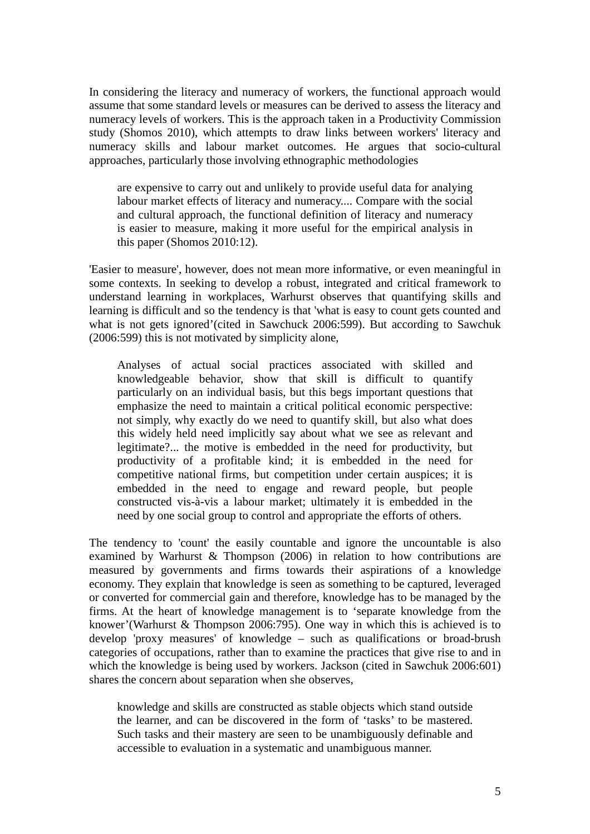In considering the literacy and numeracy of workers, the functional approach would assume that some standard levels or measures can be derived to assess the literacy and numeracy levels of workers. This is the approach taken in a Productivity Commission study (Shomos 2010), which attempts to draw links between workers' literacy and numeracy skills and labour market outcomes. He argues that socio-cultural approaches, particularly those involving ethnographic methodologies

are expensive to carry out and unlikely to provide useful data for analying labour market effects of literacy and numeracy.... Compare with the social and cultural approach, the functional definition of literacy and numeracy is easier to measure, making it more useful for the empirical analysis in this paper (Shomos 2010:12).

'Easier to measure', however, does not mean more informative, or even meaningful in some contexts. In seeking to develop a robust, integrated and critical framework to understand learning in workplaces, Warhurst observes that quantifying skills and learning is difficult and so the tendency is that 'what is easy to count gets counted and what is not gets ignored'(cited in Sawchuck 2006:599). But according to Sawchuk (2006:599) this is not motivated by simplicity alone,

Analyses of actual social practices associated with skilled and knowledgeable behavior, show that skill is difficult to quantify particularly on an individual basis, but this begs important questions that emphasize the need to maintain a critical political economic perspective: not simply, why exactly do we need to quantify skill, but also what does this widely held need implicitly say about what we see as relevant and legitimate?... the motive is embedded in the need for productivity, but productivity of a profitable kind; it is embedded in the need for competitive national firms, but competition under certain auspices; it is embedded in the need to engage and reward people, but people constructed vis-à-vis a labour market; ultimately it is embedded in the need by one social group to control and appropriate the efforts of others.

The tendency to 'count' the easily countable and ignore the uncountable is also examined by Warhurst & Thompson (2006) in relation to how contributions are measured by governments and firms towards their aspirations of a knowledge economy. They explain that knowledge is seen as something to be captured, leveraged or converted for commercial gain and therefore, knowledge has to be managed by the firms. At the heart of knowledge management is to 'separate knowledge from the knower'(Warhurst & Thompson 2006:795). One way in which this is achieved is to develop 'proxy measures' of knowledge – such as qualifications or broad-brush categories of occupations, rather than to examine the practices that give rise to and in which the knowledge is being used by workers. Jackson (cited in Sawchuk 2006:601) shares the concern about separation when she observes,

knowledge and skills are constructed as stable objects which stand outside the learner, and can be discovered in the form of 'tasks' to be mastered. Such tasks and their mastery are seen to be unambiguously definable and accessible to evaluation in a systematic and unambiguous manner.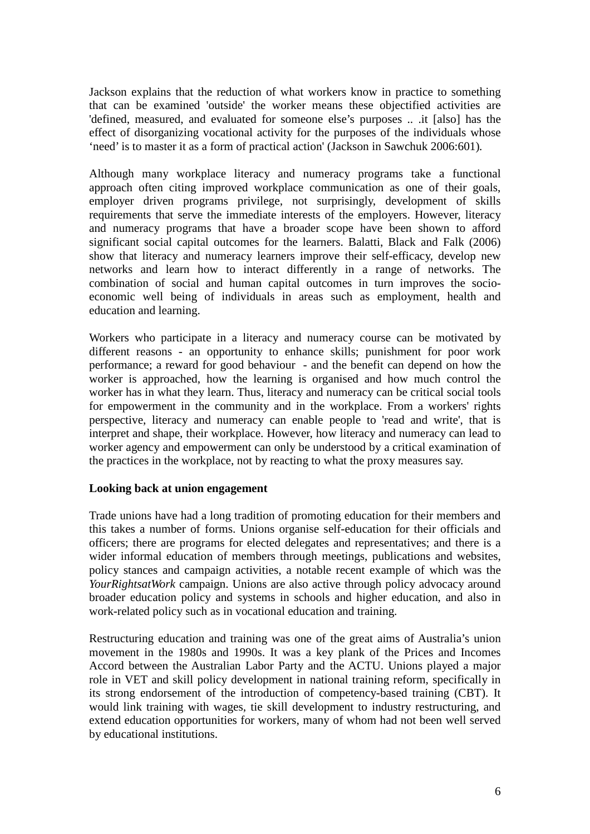Jackson explains that the reduction of what workers know in practice to something that can be examined 'outside' the worker means these objectified activities are 'defined, measured, and evaluated for someone else's purposes .. .it [also] has the effect of disorganizing vocational activity for the purposes of the individuals whose 'need' is to master it as a form of practical action' (Jackson in Sawchuk 2006:601)*.* 

Although many workplace literacy and numeracy programs take a functional approach often citing improved workplace communication as one of their goals, employer driven programs privilege, not surprisingly, development of skills requirements that serve the immediate interests of the employers. However, literacy and numeracy programs that have a broader scope have been shown to afford significant social capital outcomes for the learners. Balatti, Black and Falk (2006) show that literacy and numeracy learners improve their self-efficacy, develop new networks and learn how to interact differently in a range of networks. The combination of social and human capital outcomes in turn improves the socioeconomic well being of individuals in areas such as employment, health and education and learning.

Workers who participate in a literacy and numeracy course can be motivated by different reasons - an opportunity to enhance skills; punishment for poor work performance; a reward for good behaviour - and the benefit can depend on how the worker is approached, how the learning is organised and how much control the worker has in what they learn. Thus, literacy and numeracy can be critical social tools for empowerment in the community and in the workplace. From a workers' rights perspective, literacy and numeracy can enable people to 'read and write', that is interpret and shape, their workplace. However, how literacy and numeracy can lead to worker agency and empowerment can only be understood by a critical examination of the practices in the workplace, not by reacting to what the proxy measures say.

### **Looking back at union engagement**

Trade unions have had a long tradition of promoting education for their members and this takes a number of forms. Unions organise self-education for their officials and officers; there are programs for elected delegates and representatives; and there is a wider informal education of members through meetings, publications and websites, policy stances and campaign activities, a notable recent example of which was the *YourRightsatWork* campaign. Unions are also active through policy advocacy around broader education policy and systems in schools and higher education, and also in work-related policy such as in vocational education and training.

Restructuring education and training was one of the great aims of Australia's union movement in the 1980s and 1990s. It was a key plank of the Prices and Incomes Accord between the Australian Labor Party and the ACTU. Unions played a major role in VET and skill policy development in national training reform, specifically in its strong endorsement of the introduction of competency-based training (CBT). It would link training with wages, tie skill development to industry restructuring, and extend education opportunities for workers, many of whom had not been well served by educational institutions.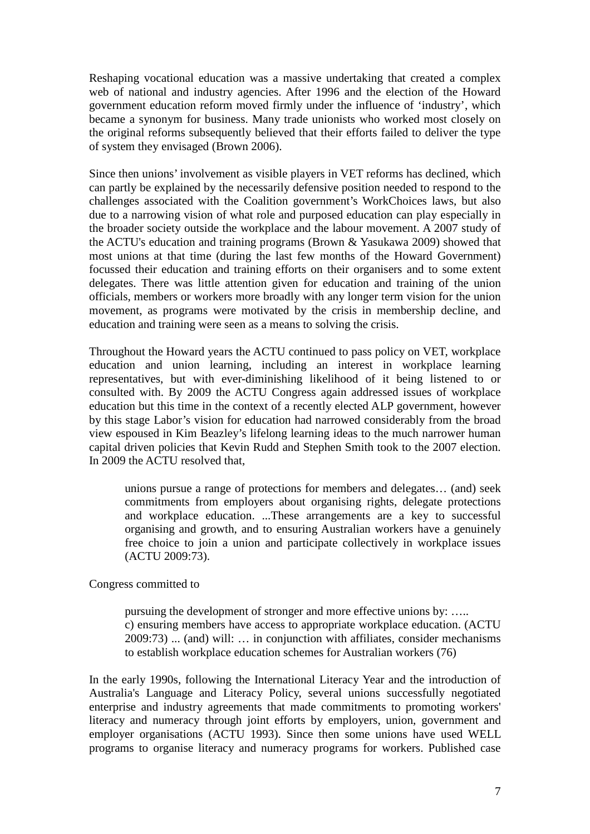Reshaping vocational education was a massive undertaking that created a complex web of national and industry agencies. After 1996 and the election of the Howard government education reform moved firmly under the influence of 'industry', which became a synonym for business. Many trade unionists who worked most closely on the original reforms subsequently believed that their efforts failed to deliver the type of system they envisaged (Brown 2006).

Since then unions' involvement as visible players in VET reforms has declined, which can partly be explained by the necessarily defensive position needed to respond to the challenges associated with the Coalition government's WorkChoices laws, but also due to a narrowing vision of what role and purposed education can play especially in the broader society outside the workplace and the labour movement. A 2007 study of the ACTU's education and training programs (Brown & Yasukawa 2009) showed that most unions at that time (during the last few months of the Howard Government) focussed their education and training efforts on their organisers and to some extent delegates. There was little attention given for education and training of the union officials, members or workers more broadly with any longer term vision for the union movement, as programs were motivated by the crisis in membership decline, and education and training were seen as a means to solving the crisis.

Throughout the Howard years the ACTU continued to pass policy on VET, workplace education and union learning, including an interest in workplace learning representatives, but with ever-diminishing likelihood of it being listened to or consulted with. By 2009 the ACTU Congress again addressed issues of workplace education but this time in the context of a recently elected ALP government, however by this stage Labor's vision for education had narrowed considerably from the broad view espoused in Kim Beazley's lifelong learning ideas to the much narrower human capital driven policies that Kevin Rudd and Stephen Smith took to the 2007 election. In 2009 the ACTU resolved that,

unions pursue a range of protections for members and delegates… (and) seek commitments from employers about organising rights, delegate protections and workplace education. ...These arrangements are a key to successful organising and growth, and to ensuring Australian workers have a genuinely free choice to join a union and participate collectively in workplace issues (ACTU 2009:73).

Congress committed to

pursuing the development of stronger and more effective unions by: ….. c) ensuring members have access to appropriate workplace education. (ACTU 2009:73) ... (and) will: … in conjunction with affiliates, consider mechanisms to establish workplace education schemes for Australian workers (76)

In the early 1990s, following the International Literacy Year and the introduction of Australia's Language and Literacy Policy, several unions successfully negotiated enterprise and industry agreements that made commitments to promoting workers' literacy and numeracy through joint efforts by employers, union, government and employer organisations (ACTU 1993). Since then some unions have used WELL programs to organise literacy and numeracy programs for workers. Published case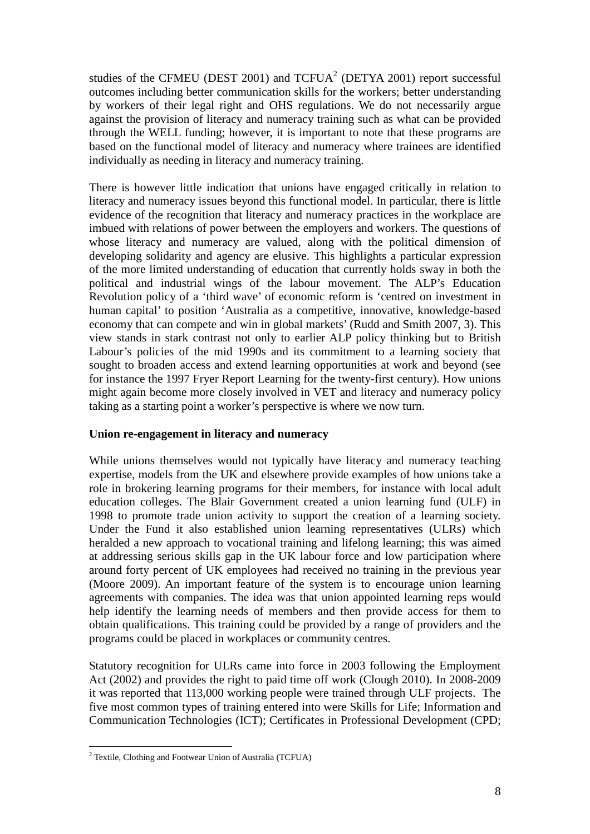studies of the CFMEU (DEST 2001) and  $TCFUA<sup>2</sup>$  (DETYA 2001) report successful outcomes including better communication skills for the workers; better understanding by workers of their legal right and OHS regulations. We do not necessarily argue against the provision of literacy and numeracy training such as what can be provided through the WELL funding; however, it is important to note that these programs are based on the functional model of literacy and numeracy where trainees are identified individually as needing in literacy and numeracy training.

There is however little indication that unions have engaged critically in relation to literacy and numeracy issues beyond this functional model. In particular, there is little evidence of the recognition that literacy and numeracy practices in the workplace are imbued with relations of power between the employers and workers. The questions of whose literacy and numeracy are valued, along with the political dimension of developing solidarity and agency are elusive. This highlights a particular expression of the more limited understanding of education that currently holds sway in both the political and industrial wings of the labour movement. The ALP's Education Revolution policy of a 'third wave' of economic reform is 'centred on investment in human capital' to position 'Australia as a competitive, innovative, knowledge-based economy that can compete and win in global markets' (Rudd and Smith 2007, 3). This view stands in stark contrast not only to earlier ALP policy thinking but to British Labour's policies of the mid 1990s and its commitment to a learning society that sought to broaden access and extend learning opportunities at work and beyond (see for instance the 1997 Fryer Report Learning for the twenty-first century). How unions might again become more closely involved in VET and literacy and numeracy policy taking as a starting point a worker's perspective is where we now turn.

## **Union re-engagement in literacy and numeracy**

While unions themselves would not typically have literacy and numeracy teaching expertise, models from the UK and elsewhere provide examples of how unions take a role in brokering learning programs for their members, for instance with local adult education colleges. The Blair Government created a union learning fund (ULF) in 1998 to promote trade union activity to support the creation of a learning society. Under the Fund it also established union learning representatives (ULRs) which heralded a new approach to vocational training and lifelong learning; this was aimed at addressing serious skills gap in the UK labour force and low participation where around forty percent of UK employees had received no training in the previous year (Moore 2009). An important feature of the system is to encourage union learning agreements with companies. The idea was that union appointed learning reps would help identify the learning needs of members and then provide access for them to obtain qualifications. This training could be provided by a range of providers and the programs could be placed in workplaces or community centres.

Statutory recognition for ULRs came into force in 2003 following the Employment Act (2002) and provides the right to paid time off work (Clough 2010). In 2008-2009 it was reported that 113,000 working people were trained through ULF projects. The five most common types of training entered into were Skills for Life; Information and Communication Technologies (ICT); Certificates in Professional Development (CPD;

 2 Textile, Clothing and Footwear Union of Australia (TCFUA)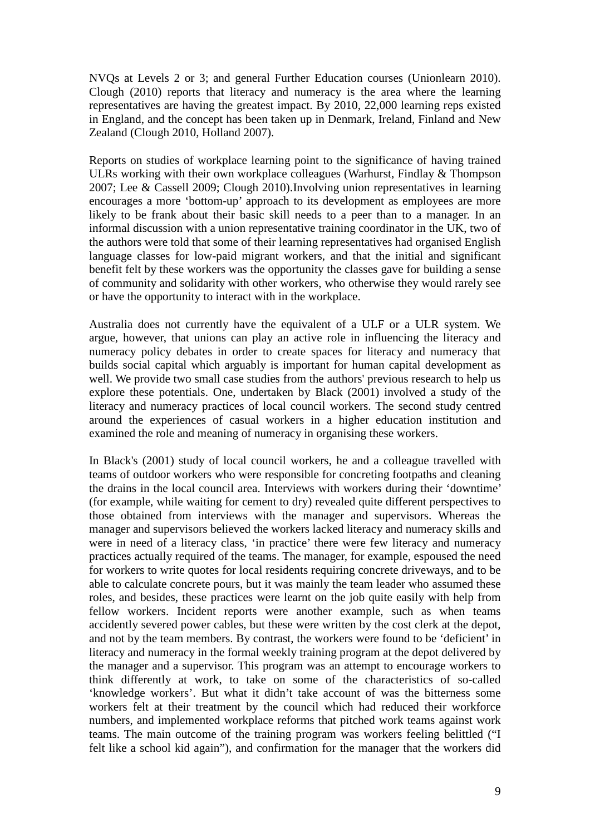NVQs at Levels 2 or 3; and general Further Education courses (Unionlearn 2010). Clough (2010) reports that literacy and numeracy is the area where the learning representatives are having the greatest impact. By 2010, 22,000 learning reps existed in England, and the concept has been taken up in Denmark, Ireland, Finland and New Zealand (Clough 2010, Holland 2007).

Reports on studies of workplace learning point to the significance of having trained ULRs working with their own workplace colleagues (Warhurst, Findlay & Thompson 2007; Lee & Cassell 2009; Clough 2010).Involving union representatives in learning encourages a more 'bottom-up' approach to its development as employees are more likely to be frank about their basic skill needs to a peer than to a manager. In an informal discussion with a union representative training coordinator in the UK, two of the authors were told that some of their learning representatives had organised English language classes for low-paid migrant workers, and that the initial and significant benefit felt by these workers was the opportunity the classes gave for building a sense of community and solidarity with other workers, who otherwise they would rarely see or have the opportunity to interact with in the workplace.

Australia does not currently have the equivalent of a ULF or a ULR system. We argue, however, that unions can play an active role in influencing the literacy and numeracy policy debates in order to create spaces for literacy and numeracy that builds social capital which arguably is important for human capital development as well. We provide two small case studies from the authors' previous research to help us explore these potentials. One, undertaken by Black (2001) involved a study of the literacy and numeracy practices of local council workers. The second study centred around the experiences of casual workers in a higher education institution and examined the role and meaning of numeracy in organising these workers.

In Black's (2001) study of local council workers, he and a colleague travelled with teams of outdoor workers who were responsible for concreting footpaths and cleaning the drains in the local council area. Interviews with workers during their 'downtime' (for example, while waiting for cement to dry) revealed quite different perspectives to those obtained from interviews with the manager and supervisors. Whereas the manager and supervisors believed the workers lacked literacy and numeracy skills and were in need of a literacy class, 'in practice' there were few literacy and numeracy practices actually required of the teams. The manager, for example, espoused the need for workers to write quotes for local residents requiring concrete driveways, and to be able to calculate concrete pours, but it was mainly the team leader who assumed these roles, and besides, these practices were learnt on the job quite easily with help from fellow workers. Incident reports were another example, such as when teams accidently severed power cables, but these were written by the cost clerk at the depot, and not by the team members. By contrast, the workers were found to be 'deficient' in literacy and numeracy in the formal weekly training program at the depot delivered by the manager and a supervisor. This program was an attempt to encourage workers to think differently at work, to take on some of the characteristics of so-called 'knowledge workers'. But what it didn't take account of was the bitterness some workers felt at their treatment by the council which had reduced their workforce numbers, and implemented workplace reforms that pitched work teams against work teams. The main outcome of the training program was workers feeling belittled ("I felt like a school kid again"), and confirmation for the manager that the workers did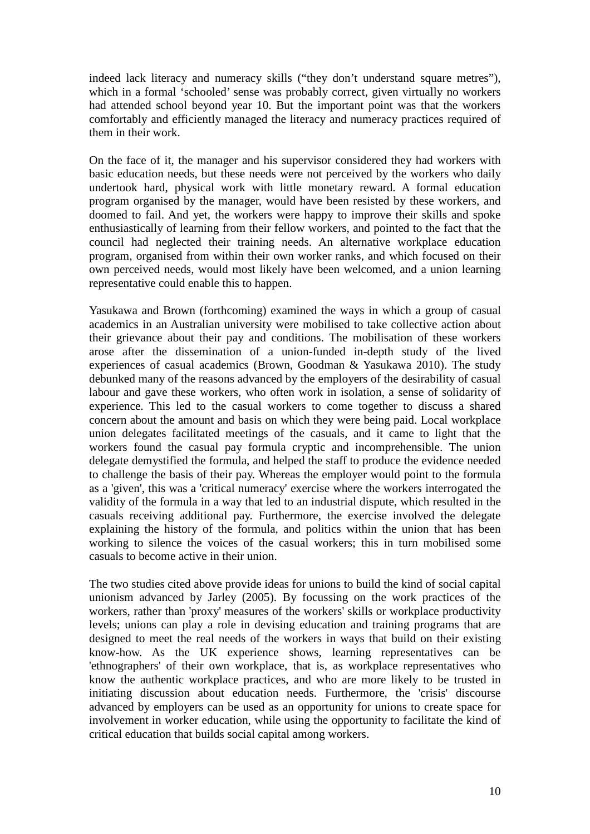indeed lack literacy and numeracy skills ("they don't understand square metres"), which in a formal 'schooled' sense was probably correct, given virtually no workers had attended school beyond year 10. But the important point was that the workers comfortably and efficiently managed the literacy and numeracy practices required of them in their work.

On the face of it, the manager and his supervisor considered they had workers with basic education needs, but these needs were not perceived by the workers who daily undertook hard, physical work with little monetary reward. A formal education program organised by the manager, would have been resisted by these workers, and doomed to fail. And yet, the workers were happy to improve their skills and spoke enthusiastically of learning from their fellow workers, and pointed to the fact that the council had neglected their training needs. An alternative workplace education program, organised from within their own worker ranks, and which focused on their own perceived needs, would most likely have been welcomed, and a union learning representative could enable this to happen.

Yasukawa and Brown (forthcoming) examined the ways in which a group of casual academics in an Australian university were mobilised to take collective action about their grievance about their pay and conditions. The mobilisation of these workers arose after the dissemination of a union-funded in-depth study of the lived experiences of casual academics (Brown, Goodman & Yasukawa 2010). The study debunked many of the reasons advanced by the employers of the desirability of casual labour and gave these workers, who often work in isolation, a sense of solidarity of experience. This led to the casual workers to come together to discuss a shared concern about the amount and basis on which they were being paid. Local workplace union delegates facilitated meetings of the casuals, and it came to light that the workers found the casual pay formula cryptic and incomprehensible. The union delegate demystified the formula, and helped the staff to produce the evidence needed to challenge the basis of their pay. Whereas the employer would point to the formula as a 'given', this was a 'critical numeracy' exercise where the workers interrogated the validity of the formula in a way that led to an industrial dispute, which resulted in the casuals receiving additional pay. Furthermore, the exercise involved the delegate explaining the history of the formula, and politics within the union that has been working to silence the voices of the casual workers; this in turn mobilised some casuals to become active in their union.

The two studies cited above provide ideas for unions to build the kind of social capital unionism advanced by Jarley (2005). By focussing on the work practices of the workers, rather than 'proxy' measures of the workers' skills or workplace productivity levels; unions can play a role in devising education and training programs that are designed to meet the real needs of the workers in ways that build on their existing know-how. As the UK experience shows, learning representatives can be 'ethnographers' of their own workplace, that is, as workplace representatives who know the authentic workplace practices, and who are more likely to be trusted in initiating discussion about education needs. Furthermore, the 'crisis' discourse advanced by employers can be used as an opportunity for unions to create space for involvement in worker education, while using the opportunity to facilitate the kind of critical education that builds social capital among workers.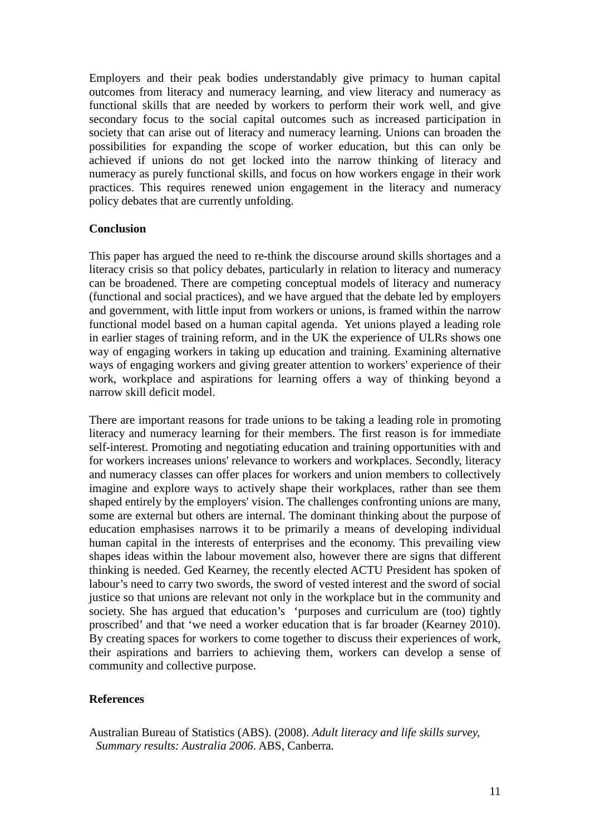Employers and their peak bodies understandably give primacy to human capital outcomes from literacy and numeracy learning, and view literacy and numeracy as functional skills that are needed by workers to perform their work well, and give secondary focus to the social capital outcomes such as increased participation in society that can arise out of literacy and numeracy learning. Unions can broaden the possibilities for expanding the scope of worker education, but this can only be achieved if unions do not get locked into the narrow thinking of literacy and numeracy as purely functional skills, and focus on how workers engage in their work practices. This requires renewed union engagement in the literacy and numeracy policy debates that are currently unfolding.

### **Conclusion**

This paper has argued the need to re-think the discourse around skills shortages and a literacy crisis so that policy debates, particularly in relation to literacy and numeracy can be broadened. There are competing conceptual models of literacy and numeracy (functional and social practices), and we have argued that the debate led by employers and government, with little input from workers or unions, is framed within the narrow functional model based on a human capital agenda. Yet unions played a leading role in earlier stages of training reform, and in the UK the experience of ULRs shows one way of engaging workers in taking up education and training. Examining alternative ways of engaging workers and giving greater attention to workers' experience of their work, workplace and aspirations for learning offers a way of thinking beyond a narrow skill deficit model.

There are important reasons for trade unions to be taking a leading role in promoting literacy and numeracy learning for their members. The first reason is for immediate self-interest. Promoting and negotiating education and training opportunities with and for workers increases unions' relevance to workers and workplaces. Secondly, literacy and numeracy classes can offer places for workers and union members to collectively imagine and explore ways to actively shape their workplaces, rather than see them shaped entirely by the employers' vision. The challenges confronting unions are many, some are external but others are internal. The dominant thinking about the purpose of education emphasises narrows it to be primarily a means of developing individual human capital in the interests of enterprises and the economy. This prevailing view shapes ideas within the labour movement also, however there are signs that different thinking is needed. Ged Kearney, the recently elected ACTU President has spoken of labour's need to carry two swords, the sword of vested interest and the sword of social justice so that unions are relevant not only in the workplace but in the community and society. She has argued that education's 'purposes and curriculum are (too) tightly proscribed' and that 'we need a worker education that is far broader (Kearney 2010). By creating spaces for workers to come together to discuss their experiences of work, their aspirations and barriers to achieving them, workers can develop a sense of community and collective purpose.

## **References**

Australian Bureau of Statistics (ABS). (2008). *Adult literacy and life skills survey, Summary results: Australia 2006*. ABS, Canberra.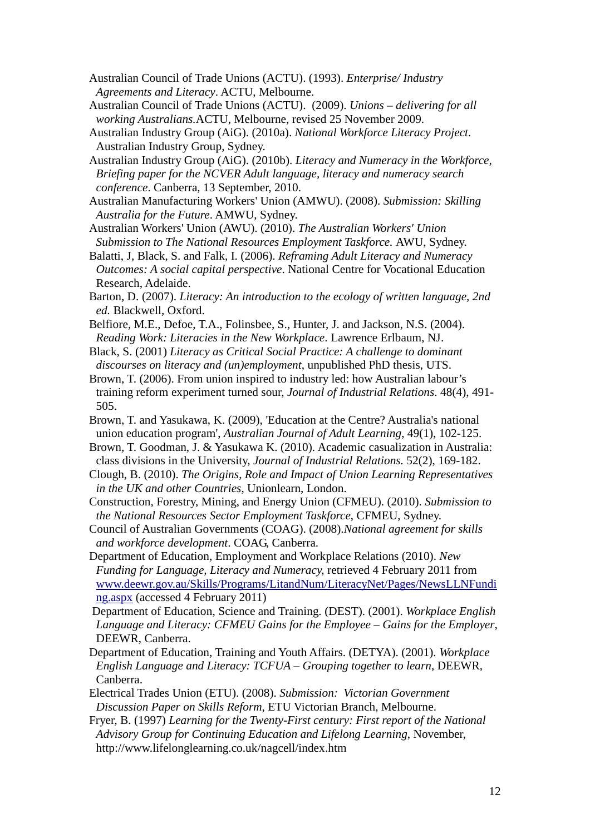- Australian Council of Trade Unions (ACTU). (1993). *Enterprise/ Industry Agreements and Literacy*. ACTU, Melbourne.
- Australian Council of Trade Unions (ACTU). (2009). *Unions delivering for all working Australians.*ACTU, Melbourne, revised 25 November 2009.
- Australian Industry Group (AiG). (2010a). *National Workforce Literacy Project*. Australian Industry Group, Sydney.
- Australian Industry Group (AiG). (2010b). *Literacy and Numeracy in the Workforce, Briefing paper for the NCVER Adult language, literacy and numeracy search conference*. Canberra, 13 September, 2010.
- Australian Manufacturing Workers' Union (AMWU). (2008). *Submission: Skilling Australia for the Future*. AMWU, Sydney.
- Australian Workers' Union (AWU). (2010). *The Australian Workers' Union Submission to The National Resources Employment Taskforce.* AWU, Sydney.
- Balatti, J, Black, S. and Falk, I. (2006). *Reframing Adult Literacy and Numeracy Outcomes: A social capital perspective*. National Centre for Vocational Education Research, Adelaide.
- Barton, D. (2007). *Literacy: An introduction to the ecology of written language, 2nd ed.* Blackwell, Oxford.
- Belfiore, M.E., Defoe, T.A., Folinsbee, S., Hunter, J. and Jackson, N.S. (2004). *Reading Work: Literacies in the New Workplace*. Lawrence Erlbaum, NJ.
- Black, S. (2001) *Literacy as Critical Social Practice: A challenge to dominant discourses on literacy and (un)employment*, unpublished PhD thesis, UTS.
- Brown, T. (2006). From union inspired to industry led: how Australian labour's training reform experiment turned sour, *Journal of Industrial Relations*. 48(4), 491- 505.
- Brown, T. and Yasukawa, K. (2009), 'Education at the Centre? Australia's national union education program', *Australian Journal of Adult Learning*, 49(1), 102-125.
- Brown, T. Goodman, J. & Yasukawa K. (2010). Academic casualization in Australia: class divisions in the University, *Journal of Industrial Relations.* 52(2), 169-182.
- Clough, B. (2010). *The Origins, Role and Impact of Union Learning Representatives in the UK and other Countries*, Unionlearn, London.
- Construction, Forestry, Mining, and Energy Union (CFMEU). (2010). *Submission to the National Resources Sector Employment Taskforce*, CFMEU, Sydney.
- Council of Australian Governments (COAG). (2008).*National agreement for skills and workforce development*. COAG, Canberra.
- Department of Education, Employment and Workplace Relations (2010). *New Funding for Language, Literacy and Numeracy,* retrieved 4 February 2011 from www.deewr.gov.au/Skills/Programs/LitandNum/LiteracyNet/Pages/NewsLLNFundi ng.aspx (accessed 4 February 2011)
- Department of Education, Science and Training. (DEST). (2001). *Workplace English Language and Literacy: CFMEU Gains for the Employee – Gains for the Employer*, DEEWR, Canberra.
- Department of Education, Training and Youth Affairs. (DETYA). (2001). *Workplace English Language and Literacy: TCFUA – Grouping together to learn*, DEEWR, Canberra.
- Electrical Trades Union (ETU). (2008). *Submission: Victorian Government Discussion Paper on Skills Reform*, ETU Victorian Branch, Melbourne.
- Fryer, B. (1997) *Learning for the Twenty-First century: First report of the National Advisory Group for Continuing Education and Lifelong Learning*, November, http://www.lifelonglearning.co.uk/nagcell/index.htm